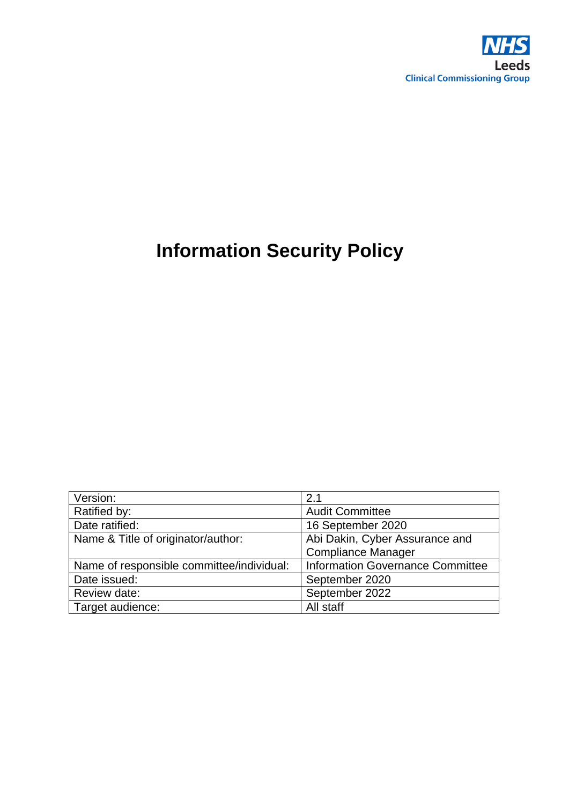

# **Information Security Policy**

| Version:                                  | 2.1                                     |  |
|-------------------------------------------|-----------------------------------------|--|
| Ratified by:                              | <b>Audit Committee</b>                  |  |
| Date ratified:                            | 16 September 2020                       |  |
| Name & Title of originator/author:        | Abi Dakin, Cyber Assurance and          |  |
|                                           | <b>Compliance Manager</b>               |  |
| Name of responsible committee/individual: | <b>Information Governance Committee</b> |  |
| Date issued:                              | September 2020                          |  |
| Review date:                              | September 2022                          |  |
| Target audience:                          | All staff                               |  |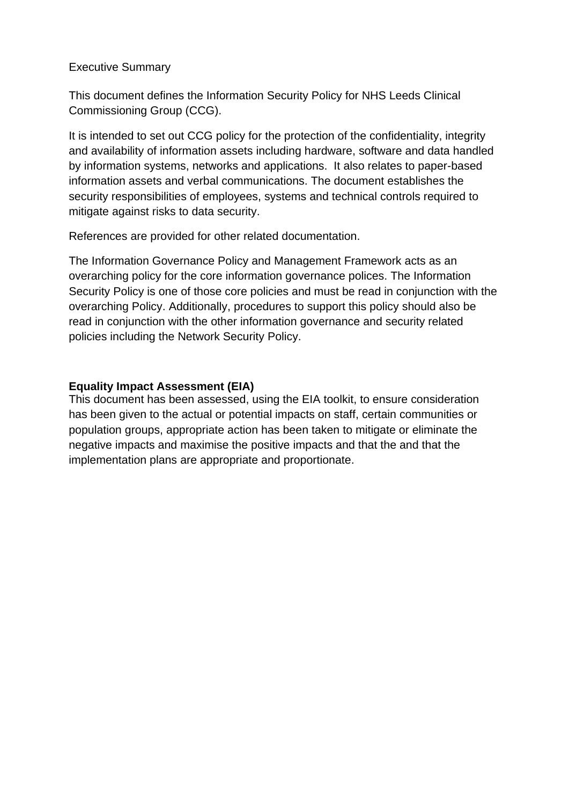#### Executive Summary

This document defines the Information Security Policy for NHS Leeds Clinical Commissioning Group (CCG).

It is intended to set out CCG policy for the protection of the confidentiality, integrity and availability of information assets including hardware, software and data handled by information systems, networks and applications. It also relates to paper-based information assets and verbal communications. The document establishes the security responsibilities of employees, systems and technical controls required to mitigate against risks to data security.

References are provided for other related documentation.

The Information Governance Policy and Management Framework acts as an overarching policy for the core information governance polices. The Information Security Policy is one of those core policies and must be read in conjunction with the overarching Policy. Additionally, procedures to support this policy should also be read in conjunction with the other information governance and security related policies including the Network Security Policy.

#### **Equality Impact Assessment (EIA)**

This document has been assessed, using the EIA toolkit, to ensure consideration has been given to the actual or potential impacts on staff, certain communities or population groups, appropriate action has been taken to mitigate or eliminate the negative impacts and maximise the positive impacts and that the and that the implementation plans are appropriate and proportionate.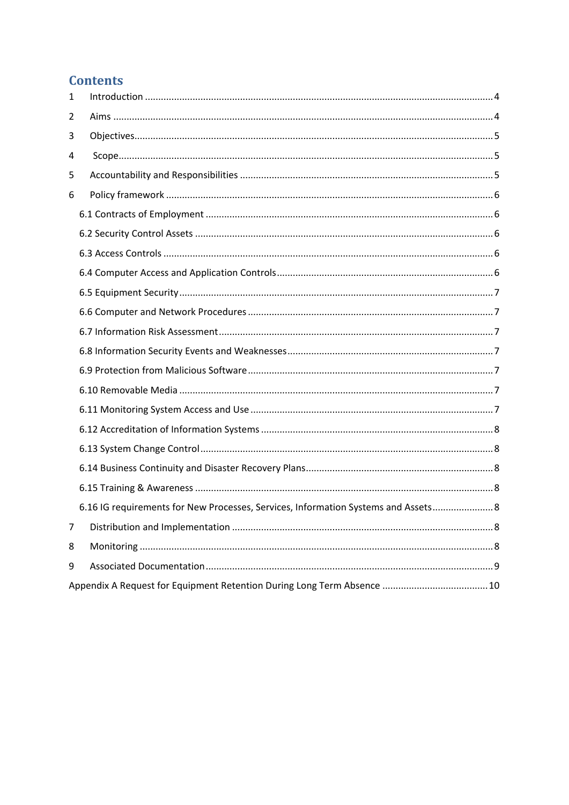# **Contents**

| 1 |                                                                                    |
|---|------------------------------------------------------------------------------------|
| 2 |                                                                                    |
| 3 |                                                                                    |
| 4 |                                                                                    |
| 5 |                                                                                    |
| 6 |                                                                                    |
|   |                                                                                    |
|   |                                                                                    |
|   |                                                                                    |
|   |                                                                                    |
|   |                                                                                    |
|   |                                                                                    |
|   |                                                                                    |
|   |                                                                                    |
|   |                                                                                    |
|   |                                                                                    |
|   |                                                                                    |
|   |                                                                                    |
|   |                                                                                    |
|   |                                                                                    |
|   |                                                                                    |
|   | 6.16 IG requirements for New Processes, Services, Information Systems and Assets 8 |
| 7 |                                                                                    |
| 8 |                                                                                    |
| 9 |                                                                                    |
|   |                                                                                    |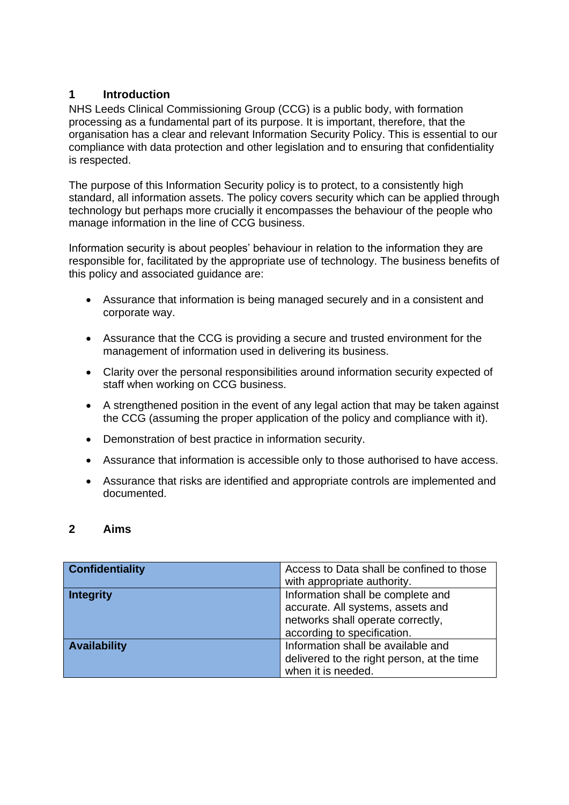#### <span id="page-3-0"></span>**1 Introduction**

NHS Leeds Clinical Commissioning Group (CCG) is a public body, with formation processing as a fundamental part of its purpose. It is important, therefore, that the organisation has a clear and relevant Information Security Policy. This is essential to our compliance with data protection and other legislation and to ensuring that confidentiality is respected.

The purpose of this Information Security policy is to protect, to a consistently high standard, all information assets. The policy covers security which can be applied through technology but perhaps more crucially it encompasses the behaviour of the people who manage information in the line of CCG business.

Information security is about peoples' behaviour in relation to the information they are responsible for, facilitated by the appropriate use of technology. The business benefits of this policy and associated guidance are:

- Assurance that information is being managed securely and in a consistent and corporate way.
- Assurance that the CCG is providing a secure and trusted environment for the management of information used in delivering its business.
- Clarity over the personal responsibilities around information security expected of staff when working on CCG business.
- A strengthened position in the event of any legal action that may be taken against the CCG (assuming the proper application of the policy and compliance with it).
- Demonstration of best practice in information security.
- Assurance that information is accessible only to those authorised to have access.
- Assurance that risks are identified and appropriate controls are implemented and documented.

#### <span id="page-3-1"></span>**2 Aims**

| <b>Confidentiality</b> | Access to Data shall be confined to those  |  |
|------------------------|--------------------------------------------|--|
|                        | with appropriate authority.                |  |
| <b>Integrity</b>       | Information shall be complete and          |  |
|                        | accurate. All systems, assets and          |  |
|                        | networks shall operate correctly,          |  |
|                        | according to specification.                |  |
| <b>Availability</b>    | Information shall be available and         |  |
|                        | delivered to the right person, at the time |  |
|                        | when it is needed.                         |  |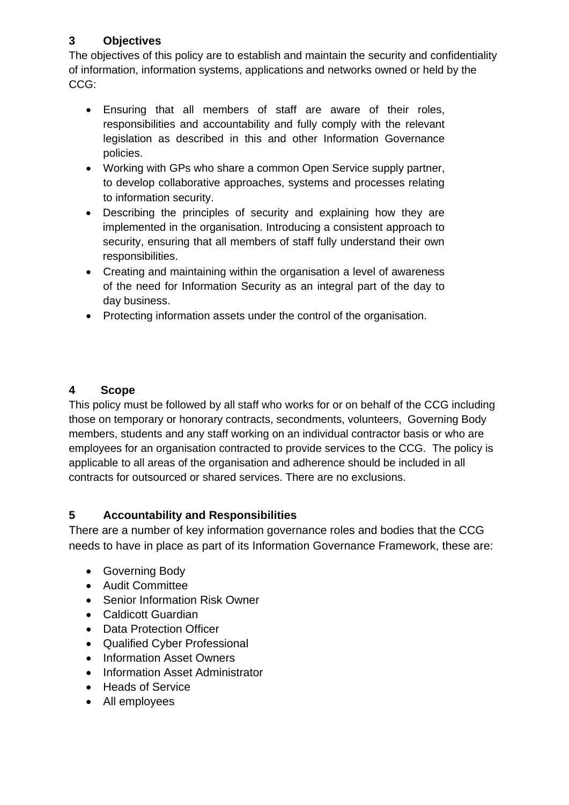## <span id="page-4-0"></span>**3 Objectives**

The objectives of this policy are to establish and maintain the security and confidentiality of information, information systems, applications and networks owned or held by the CCG:

- Ensuring that all members of staff are aware of their roles, responsibilities and accountability and fully comply with the relevant legislation as described in this and other Information Governance policies.
- Working with GPs who share a common Open Service supply partner, to develop collaborative approaches, systems and processes relating to information security.
- Describing the principles of security and explaining how they are implemented in the organisation. Introducing a consistent approach to security, ensuring that all members of staff fully understand their own responsibilities.
- Creating and maintaining within the organisation a level of awareness of the need for Information Security as an integral part of the day to day business.
- Protecting information assets under the control of the organisation.

## <span id="page-4-1"></span>**4 Scope**

This policy must be followed by all staff who works for or on behalf of the CCG including those on temporary or honorary contracts, secondments, volunteers, Governing Body members, students and any staff working on an individual contractor basis or who are employees for an organisation contracted to provide services to the CCG. The policy is applicable to all areas of the organisation and adherence should be included in all contracts for outsourced or shared services. There are no exclusions.

## <span id="page-4-2"></span>**5 Accountability and Responsibilities**

There are a number of key information governance roles and bodies that the CCG needs to have in place as part of its Information Governance Framework, these are:

- Governing Body
- Audit Committee
- Senior Information Risk Owner
- Caldicott Guardian
- Data Protection Officer
- Qualified Cyber Professional
- Information Asset Owners
- Information Asset Administrator
- Heads of Service
- All employees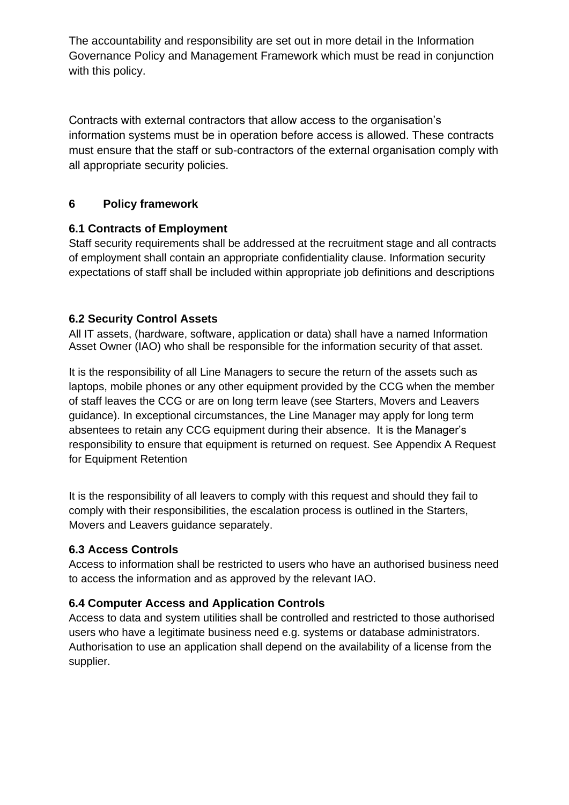The accountability and responsibility are set out in more detail in the Information Governance Policy and Management Framework which must be read in conjunction with this policy.

Contracts with external contractors that allow access to the organisation's information systems must be in operation before access is allowed. These contracts must ensure that the staff or sub-contractors of the external organisation comply with all appropriate security policies.

## <span id="page-5-0"></span>**6 Policy framework**

## <span id="page-5-1"></span>**6.1 Contracts of Employment**

Staff security requirements shall be addressed at the recruitment stage and all contracts of employment shall contain an appropriate confidentiality clause. Information security expectations of staff shall be included within appropriate job definitions and descriptions

#### <span id="page-5-2"></span>**6.2 Security Control Assets**

All IT assets, (hardware, software, application or data) shall have a named Information Asset Owner (IAO) who shall be responsible for the information security of that asset.

It is the responsibility of all Line Managers to secure the return of the assets such as laptops, mobile phones or any other equipment provided by the CCG when the member of staff leaves the CCG or are on long term leave (see Starters, Movers and Leavers guidance). In exceptional circumstances, the Line Manager may apply for long term absentees to retain any CCG equipment during their absence. It is the Manager's responsibility to ensure that equipment is returned on request. See Appendix A Request for Equipment Retention

It is the responsibility of all leavers to comply with this request and should they fail to comply with their responsibilities, the escalation process is outlined in the Starters, Movers and Leavers guidance separately.

#### <span id="page-5-3"></span>**6.3 Access Controls**

Access to information shall be restricted to users who have an authorised business need to access the information and as approved by the relevant IAO.

## <span id="page-5-4"></span>**6.4 Computer Access and Application Controls**

Access to data and system utilities shall be controlled and restricted to those authorised users who have a legitimate business need e.g. systems or database administrators. Authorisation to use an application shall depend on the availability of a license from the supplier.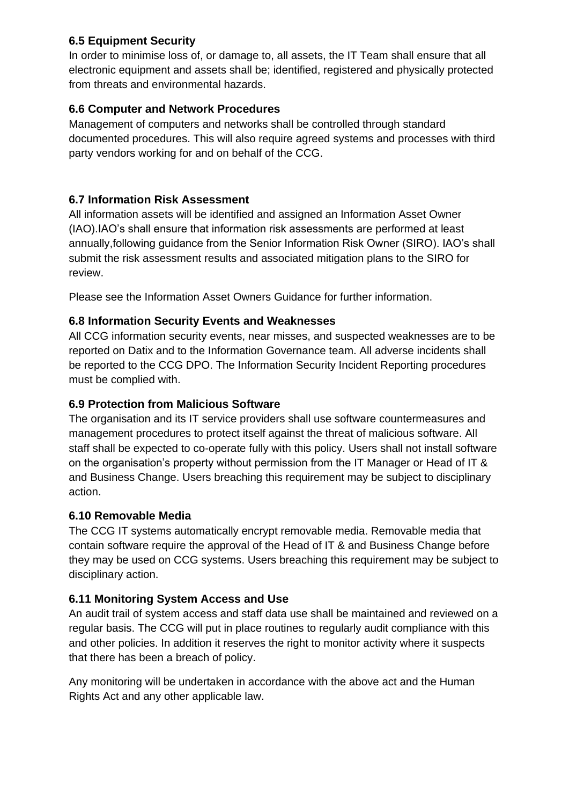#### <span id="page-6-0"></span>**6.5 Equipment Security**

In order to minimise loss of, or damage to, all assets, the IT Team shall ensure that all electronic equipment and assets shall be; identified, registered and physically protected from threats and environmental hazards.

## <span id="page-6-1"></span>**6.6 Computer and Network Procedures**

Management of computers and networks shall be controlled through standard documented procedures. This will also require agreed systems and processes with third party vendors working for and on behalf of the CCG.

## <span id="page-6-2"></span>**6.7 Information Risk Assessment**

All information assets will be identified and assigned an Information Asset Owner (IAO).IAO's shall ensure that information risk assessments are performed at least annually,following guidance from the Senior Information Risk Owner (SIRO). IAO's shall submit the risk assessment results and associated mitigation plans to the SIRO for review.

Please see the Information Asset Owners Guidance for further information.

## <span id="page-6-3"></span>**6.8 Information Security Events and Weaknesses**

All CCG information security events, near misses, and suspected weaknesses are to be reported on Datix and to the Information Governance team. All adverse incidents shall be reported to the CCG DPO. The Information Security Incident Reporting procedures must be complied with.

#### <span id="page-6-4"></span>**6.9 Protection from Malicious Software**

The organisation and its IT service providers shall use software countermeasures and management procedures to protect itself against the threat of malicious software. All staff shall be expected to co-operate fully with this policy. Users shall not install software on the organisation's property without permission from the IT Manager or Head of IT & and Business Change. Users breaching this requirement may be subject to disciplinary action.

#### <span id="page-6-5"></span>**6.10 Removable Media**

The CCG IT systems automatically encrypt removable media. Removable media that contain software require the approval of the Head of IT & and Business Change before they may be used on CCG systems. Users breaching this requirement may be subject to disciplinary action.

## <span id="page-6-6"></span>**6.11 Monitoring System Access and Use**

An audit trail of system access and staff data use shall be maintained and reviewed on a regular basis. The CCG will put in place routines to regularly audit compliance with this and other policies. In addition it reserves the right to monitor activity where it suspects that there has been a breach of policy.

Any monitoring will be undertaken in accordance with the above act and the Human Rights Act and any other applicable law.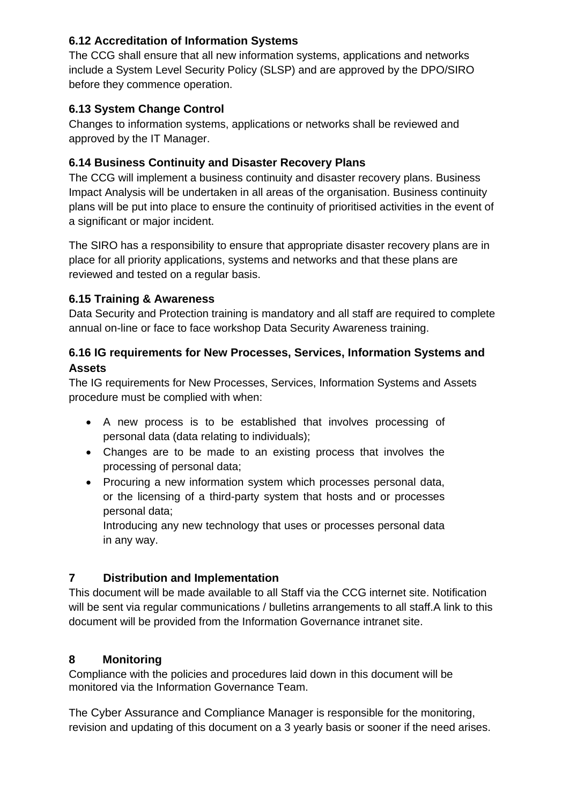#### <span id="page-7-0"></span>**6.12 Accreditation of Information Systems**

The CCG shall ensure that all new information systems, applications and networks include a System Level Security Policy (SLSP) and are approved by the DPO/SIRO before they commence operation.

## <span id="page-7-1"></span>**6.13 System Change Control**

Changes to information systems, applications or networks shall be reviewed and approved by the IT Manager.

## <span id="page-7-2"></span>**6.14 Business Continuity and Disaster Recovery Plans**

The CCG will implement a business continuity and disaster recovery plans. Business Impact Analysis will be undertaken in all areas of the organisation. Business continuity plans will be put into place to ensure the continuity of prioritised activities in the event of a significant or major incident.

The SIRO has a responsibility to ensure that appropriate disaster recovery plans are in place for all priority applications, systems and networks and that these plans are reviewed and tested on a regular basis.

## <span id="page-7-3"></span>**6.15 Training & Awareness**

Data Security and Protection training is mandatory and all staff are required to complete annual on-line or face to face workshop Data Security Awareness training.

## <span id="page-7-4"></span>**6.16 IG requirements for New Processes, Services, Information Systems and Assets**

The IG requirements for New Processes, Services, Information Systems and Assets procedure must be complied with when:

- A new process is to be established that involves processing of personal data (data relating to individuals);
- Changes are to be made to an existing process that involves the processing of personal data;
- Procuring a new information system which processes personal data, or the licensing of a third-party system that hosts and or processes personal data;

Introducing any new technology that uses or processes personal data in any way.

# <span id="page-7-5"></span>**7 Distribution and Implementation**

This document will be made available to all Staff via the CCG internet site. Notification will be sent via regular communications / bulletins arrangements to all staff.A link to this document will be provided from the Information Governance intranet site.

## <span id="page-7-6"></span>**8 Monitoring**

Compliance with the policies and procedures laid down in this document will be monitored via the Information Governance Team.

The Cyber Assurance and Compliance Manager is responsible for the monitoring, revision and updating of this document on a 3 yearly basis or sooner if the need arises.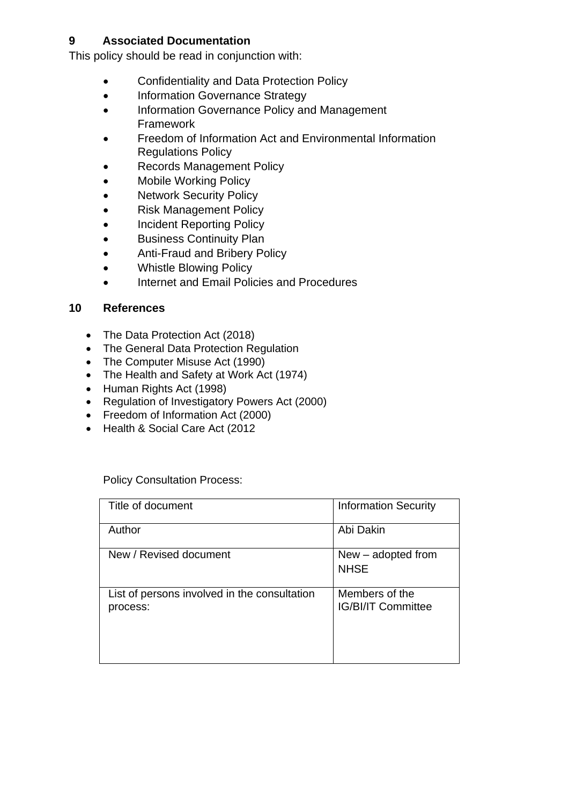#### <span id="page-8-0"></span>**9 Associated Documentation**

This policy should be read in conjunction with:

- Confidentiality and Data Protection Policy
- Information Governance Strategy
- Information Governance Policy and Management Framework
- Freedom of Information Act and Environmental Information Regulations Policy
- Records Management Policy
- Mobile Working Policy
- Network Security Policy
- Risk Management Policy
- Incident Reporting Policy
- **•** Business Continuity Plan
- Anti-Fraud and Bribery Policy
- Whistle Blowing Policy
- Internet and Email Policies and Procedures

#### **10 References**

- The Data Protection Act (2018)
- The General Data Protection Regulation
- The Computer Misuse Act (1990)
- The Health and Safety at Work Act (1974)
- Human Rights Act (1998)
- Regulation of Investigatory Powers Act (2000)
- Freedom of Information Act (2000)
- Health & Social Care Act (2012

Policy Consultation Process:

| Title of document                                        | <b>Information Security</b>                 |
|----------------------------------------------------------|---------------------------------------------|
| Author                                                   | Abi Dakin                                   |
| New / Revised document                                   | $New - adopted from$<br><b>NHSE</b>         |
| List of persons involved in the consultation<br>process: | Members of the<br><b>IG/BI/IT Committee</b> |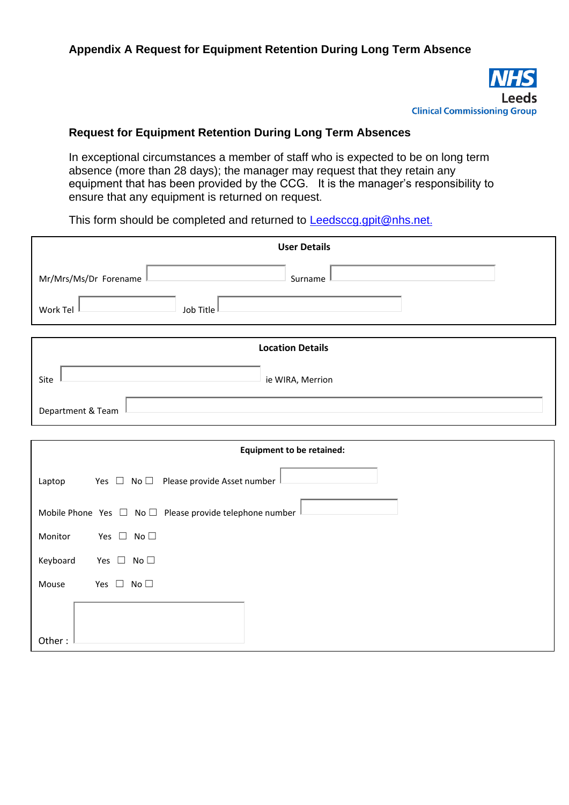

#### <span id="page-9-0"></span>**Request for Equipment Retention During Long Term Absences**

In exceptional circumstances a member of staff who is expected to be on long term absence (more than 28 days); the manager may request that they retain any equipment that has been provided by the CCG. It is the manager's responsibility to ensure that any equipment is returned on request.

This form should be completed and returned to **Leedsccg.gpit@nhs.net.** 

| <b>User Details</b>                                               |  |
|-------------------------------------------------------------------|--|
| Mr/Mrs/Ms/Dr Forename<br>Surname                                  |  |
| Work Tel<br>Job Title                                             |  |
| <b>Location Details</b>                                           |  |
|                                                                   |  |
| Site<br>ie WIRA, Merrion                                          |  |
| Department & Team                                                 |  |
| <b>Equipment to be retained:</b>                                  |  |
|                                                                   |  |
| Yes $\Box$ No $\Box$ Please provide Asset number<br>Laptop        |  |
| Mobile Phone Yes $\Box$ No $\Box$ Please provide telephone number |  |
| Yes $\Box$ No $\Box$<br>Monitor                                   |  |
| Keyboard<br>Yes $\Box$ No $\Box$                                  |  |
| Yes $\Box$ No $\Box$<br>Mouse                                     |  |
|                                                                   |  |
| Other:                                                            |  |